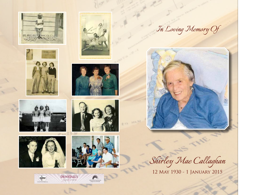





















*In Loving Memory Of*



*Shirley Mae Callaghan*

12 May 1930 - 1 January 2015